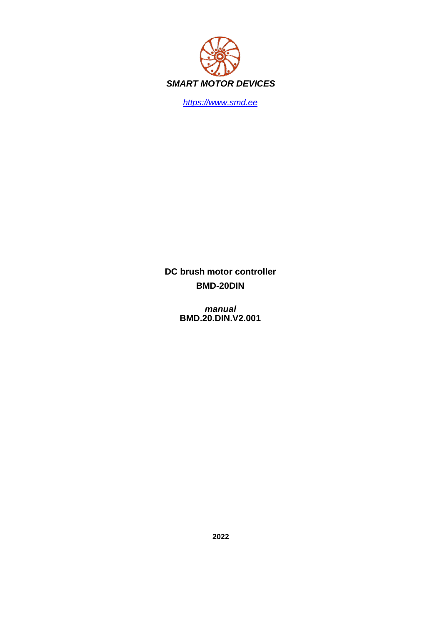

*https://www.smd.ee*

**DC brush motor controller BMD-20DIN**

> *manual* **BMD.20.DIN.V2.001**

> > **2022**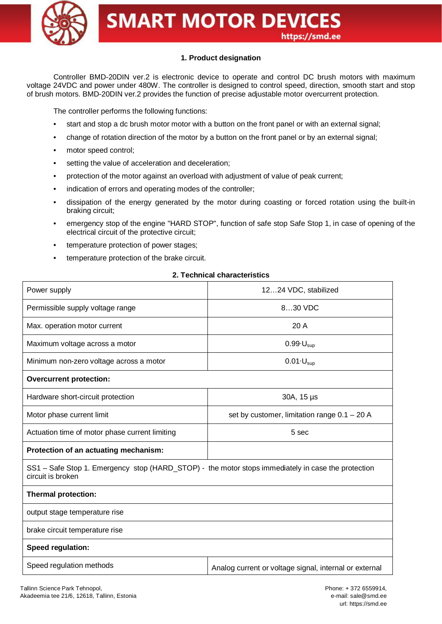

## **1. Product designation**

Controller BMD-20DIN ver.2 is electronic device to operate and control DC brush motors with maximum voltage 24VDC and power under 480W. The controller is designed to control speed, direction, smooth start and stop of brush motors. BMD-20DIN ver.2 provides the function of precise adjustable motor overcurrent protection.

The controller performs the following functions:

- start and stop a dc brush motor motor with a button on the front panel or with an external signal;
- change of rotation direction of the motor by a button on the front panel or by an external signal;
- motor speed control;
- setting the value of acceleration and deceleration;
- protection of the motor against an overload with adjustment of value of peak current;
- indication of errors and operating modes of the controller;
- dissipation of the energy generated by the motor during coasting or forced rotation using the built-in braking circuit;
- emergency stop of the engine "HARD STOP", function of safe stop Safe Stop 1, in case of opening of the electrical circuit of the protective circuit;
- temperature protection of power stages;
- temperature protection of the brake circuit.

### **2. Technical characteristics**

| Power supply                                                                                                            | 1224 VDC, stabilized                                   |  |  |  |
|-------------------------------------------------------------------------------------------------------------------------|--------------------------------------------------------|--|--|--|
| Permissible supply voltage range                                                                                        | 830 VDC                                                |  |  |  |
| Max. operation motor current                                                                                            | 20 A                                                   |  |  |  |
| Maximum voltage across a motor                                                                                          | $0.99 \cdot U_{\text{sub}}$                            |  |  |  |
| Minimum non-zero voltage across a motor                                                                                 | $0.01 \cdot U_{\text{sup}}$                            |  |  |  |
| <b>Overcurrent protection:</b>                                                                                          |                                                        |  |  |  |
| Hardware short-circuit protection                                                                                       | 30A, 15 µs                                             |  |  |  |
| Motor phase current limit                                                                                               | set by customer, limitation range $0.1 - 20$ A         |  |  |  |
| Actuation time of motor phase current limiting                                                                          | 5 sec                                                  |  |  |  |
| Protection of an actuating mechanism:                                                                                   |                                                        |  |  |  |
| SS1 - Safe Stop 1. Emergency stop (HARD_STOP) - the motor stops immediately in case the protection<br>circuit is broken |                                                        |  |  |  |
| <b>Thermal protection:</b>                                                                                              |                                                        |  |  |  |
| output stage temperature rise                                                                                           |                                                        |  |  |  |
| brake circuit temperature rise                                                                                          |                                                        |  |  |  |
| Speed regulation:                                                                                                       |                                                        |  |  |  |
| Speed regulation methods                                                                                                | Analog current or voltage signal, internal or external |  |  |  |
|                                                                                                                         |                                                        |  |  |  |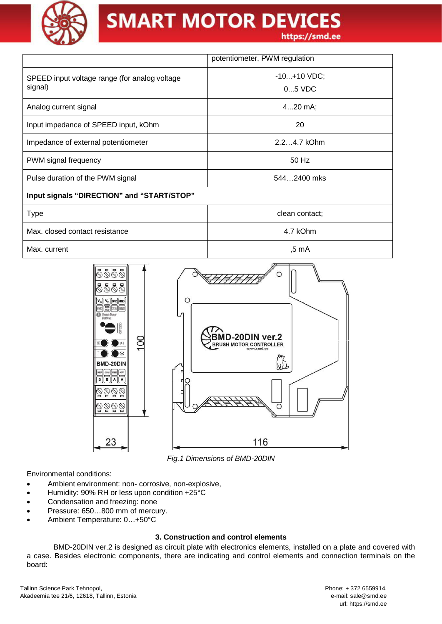

|                                                          | potentiometer, PWM regulation |  |
|----------------------------------------------------------|-------------------------------|--|
| SPEED input voltage range (for analog voltage<br>signal) | $-10+10$ VDC;<br>$05$ VDC     |  |
| Analog current signal                                    | $420$ mA;                     |  |
| Input impedance of SPEED input, kOhm                     | 20                            |  |
| Impedance of external potentiometer                      | $2.24.7$ kOhm                 |  |
| PWM signal frequency                                     | 50 Hz                         |  |
| Pulse duration of the PWM signal                         | 5442400 mks                   |  |
| Input signals "DIRECTION" and "START/STOP"               |                               |  |
| <b>Type</b>                                              | clean contact;                |  |
| Max. closed contact resistance                           | 4.7 kOhm                      |  |
| Max. current                                             | .5 mA                         |  |



*Fig.1 Dimensions of BMD-20DIN*

Environmental conditions:

- · Ambient environment: non- corrosive, non-explosive,
- Humidity: 90% RH or less upon condition +25°C
- Condensation and freezing: none
- Pressure: 650...800 mm of mercury.
- · Ambient Temperature: 0…+50°C

#### **3. Construction and control elements**

BMD-20DIN ver.2 is designed as circuit plate with electronics elements, installed on a plate and covered with a case. Besides electronic components, there are indicating and control elements and connection terminals on the board: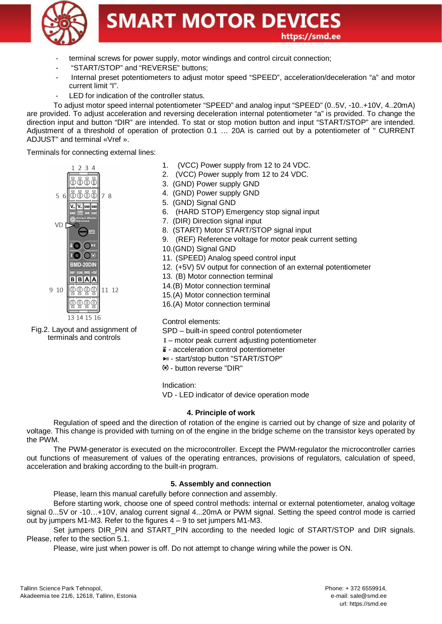

- terminal screws for power supply, motor windings and control circuit connection;
- "START/STOP" and "REVERSE" buttons;
- Internal preset potentiometers to adjust motor speed "SPEED", acceleration/deceleration "a" and motor current limit "I".
- LED for indication of the controller status.

To adjust motor speed internal potentiometer "SPEED" and analog input "SPEED" (0..5V, -10..+10V, 4..20mA) are provided. To adjust acceleration and reversing deceleration internal potentiometer "a" is provided. To change the direction input and button "DIR" are intended. To stat or stop motion button and input "START/STOP" are intended. Adjustment of a threshold of operation of protection 0.1 … 20A is carried out by a potentiometer of " CURRENT ADJUST" and terminal «Vref ».

Terminals for connecting external lines:



Fig.2. Layout and assignment of terminals and controls

- 1. (VCC) Power supply from 12 to 24 VDC.
- 2. (VCC) Power supply from 12 to 24 VDC.
- 3. (GND) Power supply GND
- 4. (GND) Power supply GND
- 5. (GND) Signal GND
- 6. (HARD STOP) Emergency stop signal input
- 7. (DIR) Direction signal input
- 8. (START) Motor START/STOP signal input
- 9. (REF) Reference voltage for motor peak current setting
- 10. (GND) Signal GND
- 11. (SPEED) Analog speed control input
- 12. (+5V) 5V output for connection of an external potentiometer
- 13. (B) Motor connection terminal
- 14. (B) Motor connection terminal
- 15. (A) Motor connection terminal
- 16. (A) Motor connection terminal

Control elements:

SPD – built-in speed control potentiometer

- motor peak current adjusting potentiometer
- $\vec{a}$  acceleration control potentiometer
- **PII start/stop button "START/STOP"**
- button reverse "DIR"

Indication:

VD - LED indicator of device operation mode

#### **4. Principle of work**

Regulation of speed and the direction of rotation of the engine is carried out by change of size and polarity of voltage. This change is provided with turning on of the engine in the bridge scheme on the transistor keys operated by the PWM.

The PWM-generator is executed on the microcontroller. Except the PWM-regulator the microcontroller carries out functions of measurement of values of the operating entrances, provisions of regulators, calculation of speed, acceleration and braking according to the built-in program.

## **5. Assembly and connection**

Please, learn this manual carefully before connection and assembly.

Before starting work, choose one of speed control methods: internal or external potentiometer, analog voltage signal 0...5V or -10…+10V, analog current signal 4...20mA or PWM signal. Setting the speed control mode is carried out by jumpers M1-M3. Refer to the figures 4 – 9 to set jumpers M1-M3.

Set jumpers DIR\_PIN and START\_PIN according to the needed logic of START/STOP and DIR signals. Please, refer to the section 5.1.

Please, wire just when power is off. Do not attempt to change wiring while the power is ON.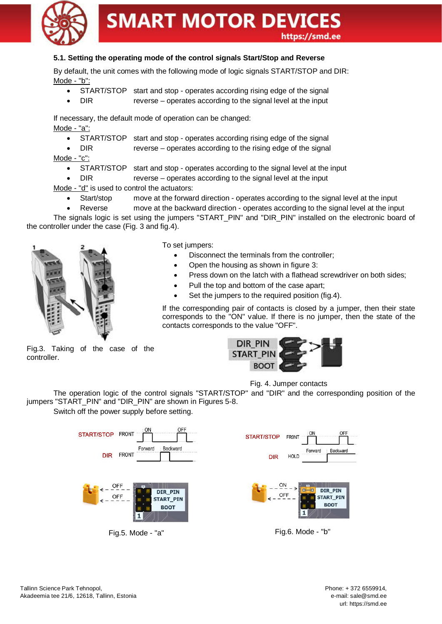

## **5.1. Setting the operating mode of the control signals Start/Stop and Reverse**

By default, the unit comes with the following mode of logic signals START/STOP and DIR: Mode - "b":

- START/STOP start and stop operates according rising edge of the signal
- DIR reverse operates according to the signal level at the input

If necessary, the default mode of operation can be changed: Mode - "a":

START/STOP start and stop - operates according rising edge of the signal

DIR reverse – operates according to the rising edge of the signal

Mode - "c":

- · START/STOP start and stop operates according to the signal level at the input
- DIR reverse operates according to the signal level at the input

Mode - "d" is used to control the actuators:

- Start/stop move at the forward direction operates according to the signal level at the input
- Reverse move at the backward direction operates according to the signal level at the input

The signals logic is set using the jumpers "START\_PIN" and "DIR\_PIN" installed on the electronic board of the controller under the case (Fig. 3 and fig.4).



To set jumpers:

- Disconnect the terminals from the controller;
- · Open the housing as shown in figure 3:
- Press down on the latch with a flathead screwdriver on both sides;
- Pull the top and bottom of the case apart:
- Set the jumpers to the required position (fig.4).

If the corresponding pair of contacts is closed by a jumper, then their state corresponds to the "ON" value. If there is no jumper, then the state of the contacts corresponds to the value "OFF".

Fig.3. Taking of the case of the controller.



Fig. 4. Jumper contacts

The operation logic of the control signals "START/STOP" and "DIR" and the corresponding position of the jumpers "START\_PIN" and "DIR\_PIN" are shown in Figures 5-8.

Switch off the power supply before setting.

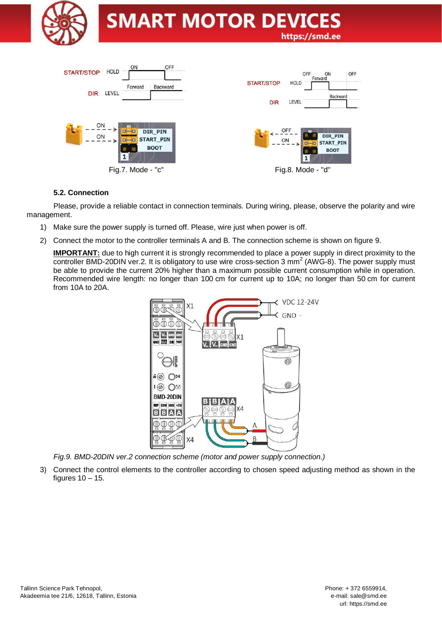



### **5.2. Connection**

Please, provide a reliable contact in connection terminals. During wiring, please, observe the polarity and wire management.

- 1) Make sure the power supply is turned off. Please, wire just when power is off.
- 2) Connect the motor to the controller terminals A and B. The connection scheme is shown on figure 9.

**IMPORTANT:** due to high current it is strongly recommended to place a power supply in direct proximity to the controller BMD-20DIN ver.2. It is obligatory to use wire cross-section 3 mm<sup>2</sup> (AWG-8). The power supply must be able to provide the current 20% higher than a maximum possible current consumption while in operation. Recommended wire length: no longer than 100 cm for current up to 10A; no longer than 50 cm for current from 10A to 20A.



*Fig.9. BMD-20DIN ver.2 connection scheme (motor and power supply connection.)*

3) Connect the control elements to the controller according to chosen speed adjusting method as shown in the figures  $10 - 15$ .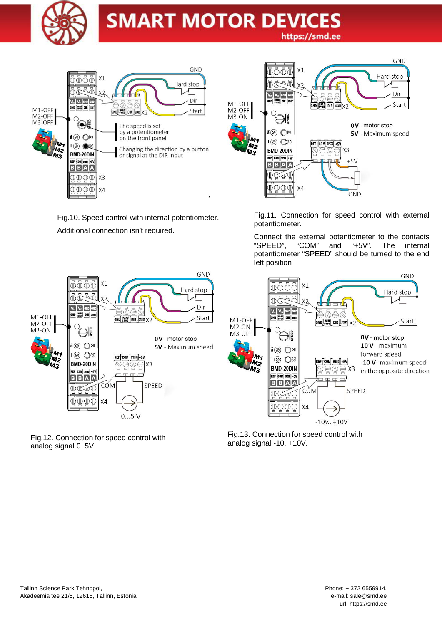



Fig.10. Speed control with internal potentiometer. Additional connection isn't required.



Fig.11. Connection for speed control with external potentiometer.

Connect the external potentiometer to the contacts "SPEED", "COM" and "+5V". The internal potentiometer "SPEED" should be turned to the end left position



Fig.12. Connection for speed control with analog signal 0..5V.



Fig.13. Connection for speed control with analog signal -10..+10V.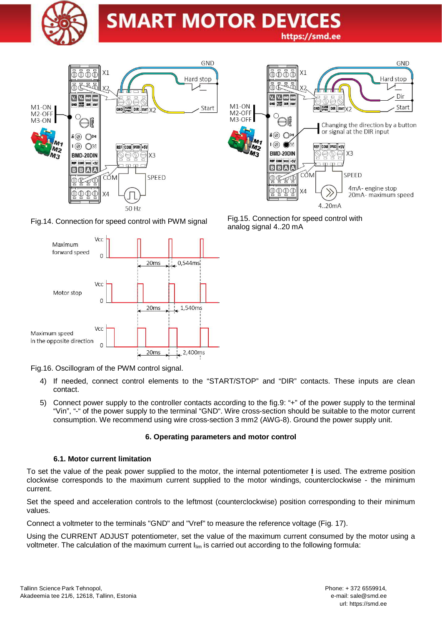





Fig.16. Oscillogram of the PWM control signal.

- 4) If needed, connect control elements to the "START/STOP" and "DIR" contacts. These inputs are clean contact.
- 5) Connect power supply to the controller contacts according to the fig.9: "+" of the power supply to the terminal "Vin", "-" of the power supply to the terminal "GND". Wire cross-section should be suitable to the motor current consumption. We recommend using wire cross-section 3 mm2 (AWG-8). Ground the power supply unit.

#### **6. Operating parameters and motor control**

#### **6.1. Motor current limitation**

To set the value of the peak power supplied to the motor, the internal potentiometer **I** is used. The extreme position clockwise corresponds to the maximum current supplied to the motor windings, counterclockwise - the minimum current.

Set the speed and acceleration controls to the leftmost (counterclockwise) position corresponding to their minimum values.

Connect a voltmeter to the terminals "GND" and "Vref" to measure the reference voltage (Fig. 17).

Using the CURRENT ADJUST potentiometer, set the value of the maximum current consumed by the motor using a voltmeter. The calculation of the maximum current  $I_{\text{lim}}$  is carried out according to the following formula:



Fig.14. Connection for speed control with PWM signal Fig.15. Connection for speed control with analog signal 4..20 mA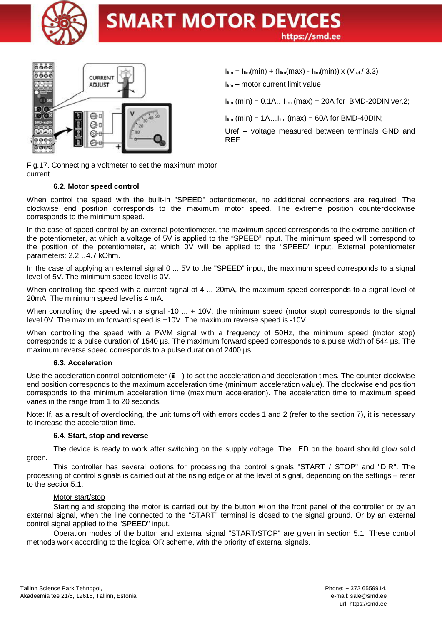



 $I_{\text{lim}} = I_{\text{lim}}(\text{min}) + (I_{\text{lim}}(\text{max}) - I_{\text{lim}}(\text{min})) \times (V_{\text{ref}}/3.3)$ 

 $I_{lim}$  – motor current limit value

 $I_{\text{lim}}$  (min) = 0.1A... $I_{\text{lim}}$  (max) = 20A for BMD-20DIN ver.2;

 $I_{lim}$  (min) = 1A... $I_{lim}$  (max) = 60A for BMD-40DIN;

Uref – voltage measured between terminals GND and REF

Fig.17. Connecting a voltmeter to set the maximum motor current.

### **6.2. Motor speed control**

When control the speed with the built-in "SPEED" potentiometer, no additional connections are required. The clockwise end position corresponds to the maximum motor speed. The extreme position counterclockwise corresponds to the minimum speed.

In the case of speed control by an external potentiometer, the maximum speed corresponds to the extreme position of the potentiometer, at which a voltage of 5V is applied to the "SPEED" input. The minimum speed will correspond to the position of the potentiometer, at which 0V will be applied to the "SPEED" input. External potentiometer parameters: 2.2…4.7 kOhm.

In the case of applying an external signal 0 ... 5V to the "SPEED" input, the maximum speed corresponds to a signal level of 5V. The minimum speed level is 0V.

When controlling the speed with a current signal of 4 ... 20mA, the maximum speed corresponds to a signal level of 20mA. The minimum speed level is 4 mA.

When controlling the speed with a signal -10 ... + 10V, the minimum speed (motor stop) corresponds to the signal level 0V. The maximum forward speed is +10V. The maximum reverse speed is -10V.

When controlling the speed with a PWM signal with a frequency of 50Hz, the minimum speed (motor stop) corresponds to a pulse duration of 1540 µs. The maximum forward speed corresponds to a pulse width of 544 µs. The maximum reverse speed corresponds to a pulse duration of 2400 µs.

#### **6.3. Acceleration**

Use the acceleration control potentiometer  $(\vec{a} - )$  to set the acceleration and deceleration times. The counter-clockwise end position corresponds to the maximum acceleration time (minimum acceleration value). The clockwise end position corresponds to the minimum acceleration time (maximum acceleration). The acceleration time to maximum speed varies in the range from 1 to 20 seconds.

Note: If, as a result of overclocking, the unit turns off with errors codes 1 and 2 (refer to the section 7), it is necessary to increase the acceleration time.

#### **6.4. Start, stop and reverse**

The device is ready to work after switching on the supply voltage. The LED on the board should glow solid green.

This controller has several options for processing the control signals "START / STOP" and "DIR". The processing of control signals is carried out at the rising edge or at the level of signal, depending on the settings – refer to the section5.1.

#### Motor start/stop

Starting and stopping the motor is carried out by the button  $\blacktriangleright$  on the front panel of the controller or by an external signal, when the line connected to the "START" terminal is closed to the signal ground. Or by an external control signal applied to the "SPEED" input.

Operation modes of the button and external signal "START/STOP" are given in section 5.1. These control methods work according to the logical OR scheme, with the priority of external signals.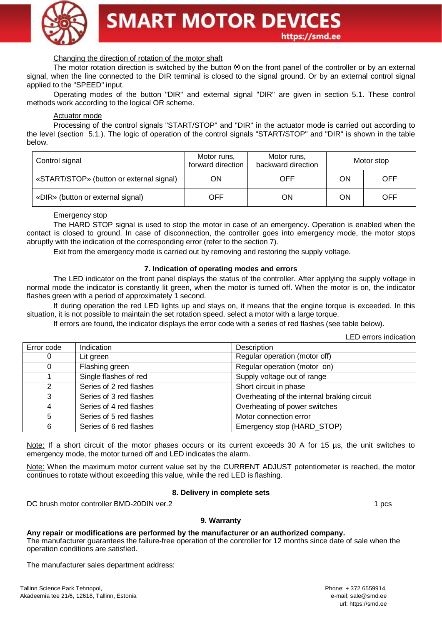

#### Changing the direction of rotation of the motor shaft

The motor rotation direction is switched by the button  $\odot$  on the front panel of the controller or by an external signal, when the line connected to the DIR terminal is closed to the signal ground. Or by an external control signal applied to the "SPEED" input.

Operating modes of the button "DIR" and external signal "DIR" are given in section 5.1. These control methods work according to the logical OR scheme.

#### Actuator mode

Processing of the control signals "START/STOP" and "DIR" in the actuator mode is carried out according to the level (section 5.1.). The logic of operation of the control signals "START/STOP" and "DIR" is shown in the table below.

| Control signal                           | Motor runs,<br>forward direction | Motor runs,<br>backward direction |    | Motor stop |
|------------------------------------------|----------------------------------|-----------------------------------|----|------------|
| «START/STOP» (button or external signal) | OΝ                               | OFF                               | ON | OFF        |
| «DIR» (button or external signal)        | OFF                              | ON                                | ΟN | OFF        |

Emergency stop

The HARD STOP signal is used to stop the motor in case of an emergency. Operation is enabled when the contact is closed to ground. In case of disconnection, the controller goes into emergency mode, the motor stops abruptly with the indication of the corresponding error (refer to the section 7).

Exit from the emergency mode is carried out by removing and restoring the supply voltage.

#### **7. Indication of operating modes and errors**

The LED indicator on the front panel displays the status of the controller. After applying the supply voltage in normal mode the indicator is constantly lit green, when the motor is turned off. When the motor is on, the indicator flashes green with a period of approximately 1 second.

If during operation the red LED lights up and stays on, it means that the engine torque is exceeded. In this situation, it is not possible to maintain the set rotation speed, select a motor with a large torque.

If errors are found, the indicator displays the error code with a series of red flashes (see table below).

LED errors indication

| Error code | Indication              | Description                                 |
|------------|-------------------------|---------------------------------------------|
| 0          | Lit green               | Regular operation (motor off)               |
|            | Flashing green          | Regular operation (motor on)                |
|            | Single flashes of red   | Supply voltage out of range                 |
| 2          | Series of 2 red flashes | Short circuit in phase                      |
| 3          | Series of 3 red flashes | Overheating of the internal braking circuit |
|            | Series of 4 red flashes | Overheating of power switches               |
| 5          | Series of 5 red flashes | Motor connection error                      |
| 6          | Series of 6 red flashes | Emergency stop (HARD_STOP)                  |

Note: If a short circuit of the motor phases occurs or its current exceeds 30 A for 15 µs, the unit switches to emergency mode, the motor turned off and LED indicates the alarm.

Note: When the maximum motor current value set by the CURRENT ADJUST potentiometer is reached, the motor continues to rotate without exceeding this value, while the red LED is flashing.

#### **8. Delivery in complete sets**

DC brush motor controller BMD-20DIN ver.2 1 pcs

#### **9. Warranty**

**Any repair or modifications are performed by the manufacturer or an authorized company.** The manufacturer guarantees the failure-free operation of the controller for 12 months since date of sale when the operation conditions are satisfied.

The manufacturer sales department address: